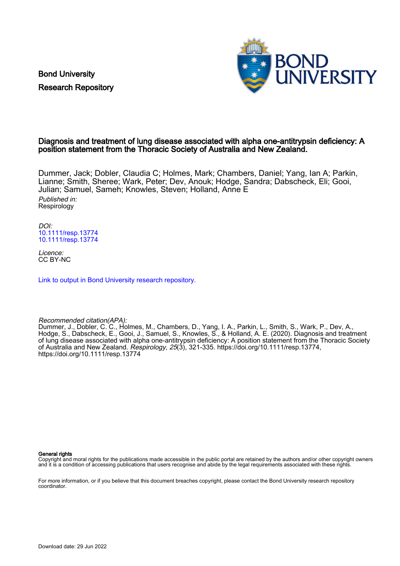Bond University Research Repository



## Diagnosis and treatment of lung disease associated with alpha one-antitrypsin deficiency: A position statement from the Thoracic Society of Australia and New Zealand.

Dummer, Jack; Dobler, Claudia C; Holmes, Mark; Chambers, Daniel; Yang, Ian A; Parkin, Lianne; Smith, Sheree; Wark, Peter; Dev, Anouk; Hodge, Sandra; Dabscheck, Eli; Gooi, Julian; Samuel, Sameh; Knowles, Steven; Holland, Anne E Published in: Respirology

DOI: [10.1111/resp.13774](https://doi.org/10.1111/resp.13774) [10.1111/resp.13774](https://doi.org/10.1111/resp.13774)

Licence: CC BY-NC

[Link to output in Bond University research repository.](https://research.bond.edu.au/en/publications/5f88dcc3-39a8-4c27-8d79-794e1326bd94)

### Recommended citation(APA):

Dummer, J., Dobler, C. C., Holmes, M., Chambers, D., Yang, I. A., Parkin, L., Smith, S., Wark, P., Dev, A., Hodge, S., Dabscheck, E., Gooi, J., Samuel, S., Knowles, S., & Holland, A. E. (2020). Diagnosis and treatment of lung disease associated with alpha one-antitrypsin deficiency: A position statement from the Thoracic Society of Australia and New Zealand. Respirology, 25(3), 321-335.<https://doi.org/10.1111/resp.13774>, <https://doi.org/10.1111/resp.13774>

General rights

Copyright and moral rights for the publications made accessible in the public portal are retained by the authors and/or other copyright owners and it is a condition of accessing publications that users recognise and abide by the legal requirements associated with these rights.

For more information, or if you believe that this document breaches copyright, please contact the Bond University research repository coordinator.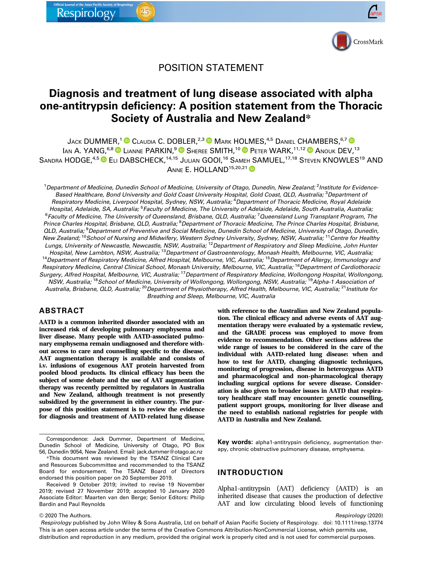

# POSITION STATEMENT

# Diagnosis and treatment of lung disease associated with alpha one-antitrypsin deficiency: A position statement from the Thoracic Society of Australia and New Zealand\*

JACK DUMMER,<sup>1</sup> CLAUDIA C. DOBLER,<sup>2,3</sup> MARK HOLMES,<sup>4,5</sup> DANIEL CHAMBERS,<sup>6,7</sup> O IAN A. YANG, 6,8 LIANNE PARKIN, <sup>9</sup> SHEREE SMITH, <sup>10</sup> PETER WARK, <sup>11,12</sup> ANOUK DEV, <sup>13</sup> SANDRA HODGE,<sup>4,5</sup> C ELI DABSCHECK,<sup>14,15</sup> JULIAN GOOI,<sup>16</sup> SAMEH SAMUEL,<sup>17,18</sup> STEVEN KNOWLES<sup>19</sup> AND ANNE E. HOLLAND<sup>15,20,21</sup>

<sup>1</sup> Department of Medicine, Dunedin School of Medicine, University of Otago, Dunedin, New Zealand; <sup>2</sup> Institute for Evidence Based Healthcare, Bond University and Gold Coast University Hospital, Gold Coast, QLD, Australia; <sup>3</sup>Department oi Respiratory Medicine, Liverpool Hospital, Sydney, NSW, Australia; <sup>4</sup>Department of Thoracic Medicine, Royal Adelaide Hospital, Adelaide, SA, Australia; <sup>5</sup> Faculty of Medicine, The University of Adelaide, Adelaide, South Australia, Australia, <sup>6</sup>Faculty of Medicine, The University of Queensland, Brisbane, QLD, Australia; <sup>7</sup> Queensland Lung Transplant Program, The Prince Charles Hospital, Brisbane, QLD, Australia; <sup>8</sup>Department of Thoracic Medicine, The Prince Charles Hospital, Brisbane, QLD, Australia; <sup>9</sup>Department of Preventive and Social Medicine, Dunedin School of Medicine, University of Otago, Dunedin, New Zealand; <sup>10</sup>School of Nursing and Midwifery, Western Sydney University, Sydney, NSW, Australia; <sup>11</sup>Centre for Healthy Lungs, University of Newcastle, Newcastle, NSW, Australia; <sup>12</sup>Department of Respiratory and Sleep Medicine, John Hunter Hospital, New Lambton, NSW, Australia; <sup>13</sup> Department of Gastroenterology, Monash Health, Melbourne, VIC, Australia;<br><sup>14</sup> Department of Respiratory Medicine, Alfred Hospital, Melbourne, VIC, Australia; <sup>15</sup> Department of Respiratory Medicine, Central Clinical School, Monash University, Melbourne, VIC, Australia; <sup>16</sup>Department of Cardiothoracic Surgery, Alfred Hospital, Melbourne, VIC, Australia; <sup>17</sup>Department of Respiratory Medicine, Wollongong Hospital, Wollongong, NSW, Australia; <sup>18</sup>School of Medicine, University of Wollongong, Wollongong, NSW, Australia; <sup>19</sup>Alpha-1 Association of Australia, Brisbane, QLD, Australia; <sup>20</sup> Department of Physiotherapy, Alfred Health, Melbourne, VIC, Australia; <sup>21</sup> Institute for Breathing and Sleep, Melbourne, VIC, Australia

### ABSTRACT

AATD is a common inherited disorder associated with an increased risk of developing pulmonary emphysema and liver disease. Many people with AATD-associated pulmonary emphysema remain undiagnosed and therefore without access to care and counselling specific to the disease. AAT augmentation therapy is available and consists of i.v. infusions of exogenous AAT protein harvested from pooled blood products. Its clinical efficacy has been the subject of some debate and the use of AAT augmentation therapy was recently permitted by regulators in Australia and New Zealand, although treatment is not presently subsidized by the government in either country. The purpose of this position statement is to review the evidence for diagnosis and treatment of AATD-related lung disease

Received 9 October 2019; invited to revise 19 November 2019; revised 27 November 2019; accepted 10 January 2020 Associate Editor: Maarten van den Berge; Senior Editors: Philip Bardin and Paul Reynolds

© 2020 The Authors.

with reference to the Australian and New Zealand population. The clinical efficacy and adverse events of AAT augmentation therapy were evaluated by a systematic review, and the GRADE process was employed to move from evidence to recommendation. Other sections address the wide range of issues to be considered in the care of the individual with AATD-related lung disease: when and how to test for AATD, changing diagnostic techniques, monitoring of progression, disease in heterozygous AATD and pharmacological and non-pharmacological therapy including surgical options for severe disease. Consideration is also given to broader issues in AATD that respiratory healthcare staff may encounter: genetic counselling, patient support groups, monitoring for liver disease and the need to establish national registries for people with AATD in Australia and New Zealand.

Key words: alpha1-antitrypsin deficiency, augmentation therapy, chronic obstructive pulmonary disease, emphysema.

### INTRODUCTION

Alpha1-antitrypsin (AAT) deficiency (AATD) is an inherited disease that causes the production of defective AAT and low circulating blood levels of functioning

Respirology published by John Wiley & Sons Australia, Ltd on behalf of Asian Pacific Society of Respirology. doi: 10.1111/resp.13774 This is an open access article under the terms of the [Creative Commons Attribution-NonCommercial](http://creativecommons.org/licenses/by-nc/4.0/) License, which permits use, distribution and reproduction in any medium, provided the original work is properly cited and is not used for commercial purposes.

Correspondence: Jack Dummer, Department of Medicine, Dunedin School of Medicine, University of Otago, PO Box 56, Dunedin 9054, New Zealand. Email: jack.dummer@otago.ac.nz

<sup>\*</sup>This document was reviewed by the TSANZ Clinical Care and Resources Subcommittee and recommended to the TSANZ Board for endorsement. The TSANZ Board of Directors endorsed this position paper on 20 September 2019.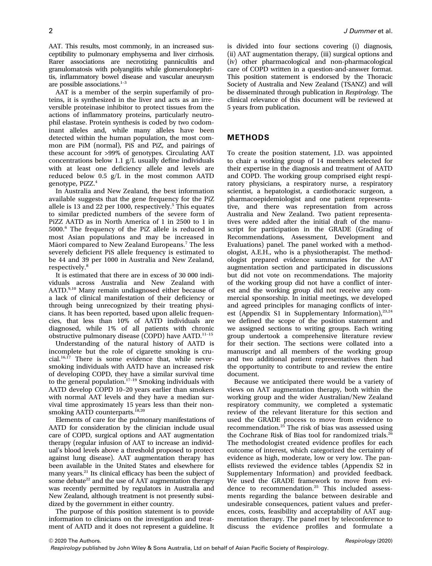AAT. This results, most commonly, in an increased susceptibility to pulmonary emphysema and liver cirrhosis. Rarer associations are necrotizing panniculitis and granulomatosis with polyangiitis while glomerulonephritis, inflammatory bowel disease and vascular aneurysm are possible associations. $1-3$ 

AAT is a member of the serpin superfamily of proteins, it is synthesized in the liver and acts as an irreversible proteinase inhibitor to protect tissues from the actions of inflammatory proteins, particularly neutrophil elastase. Protein synthesis is coded by two codominant alleles and, while many alleles have been detected within the human population, the most common are PiM (normal), PiS and PiZ, and pairings of these account for >99% of genotypes. Circulating AAT concentrations below 1.1 g/L usually define individuals with at least one deficiency allele and levels are reduced below 0.5 g/L in the most common AATD genotype, PiZZ.<sup>4</sup>

In Australia and New Zealand, the best information available suggests that the gene frequency for the PiZ allele is 13 and 22 per 1000, respectively.<sup>5</sup> This equates to similar predicted numbers of the severe form of PiZZ AATD as in North America of 1 in 2500 to 1 in 5000.<sup>6</sup> The frequency of the PiZ allele is reduced in most Asian populations and may be increased in Maori compared to New Zealand Europeans.<sup>7</sup> The less severely deficient PiS allele frequency is estimated to be 44 and 39 per 1000 in Australia and New Zealand, respectively.<sup>8</sup>

It is estimated that there are in excess of 30 000 individuals across Australia and New Zealand with AATD.<sup>9,10</sup> Many remain undiagnosed either because of a lack of clinical manifestation of their deficiency or through being unrecognized by their treating physicians. It has been reported, based upon allelic frequencies, that less than 10% of AATD individuals are diagnosed, while 1% of all patients with chronic obstructive pulmonary disease (COPD) have AATD.<sup>11</sup>–<sup>15</sup>

Understanding of the natural history of AATD is incomplete but the role of cigarette smoking is crucial.16,17 There is some evidence that, while neversmoking individuals with AATD have an increased risk of developing COPD, they have a similar survival time to the general population. $17-19$  Smoking individuals with AATD develop COPD 10–20 years earlier than smokers with normal AAT levels and they have a median survival time approximately 15 years less than their nonsmoking AATD counterparts.<sup>18,20</sup>

Elements of care for the pulmonary manifestations of AATD for consideration by the clinician include usual care of COPD, surgical options and AAT augmentation therapy (regular infusion of AAT to increase an individual's blood levels above a threshold proposed to protect against lung disease). AAT augmentation therapy has been available in the United States and elsewhere for many years.<sup>21</sup> Its clinical efficacy has been the subject of some debate $22$  and the use of AAT augmentation therapy was recently permitted by regulators in Australia and New Zealand, although treatment is not presently subsidized by the government in either country.

The purpose of this position statement is to provide information to clinicians on the investigation and treatment of AATD and it does not represent a guideline. It is divided into four sections covering (i) diagnosis, (ii) AAT augmentation therapy, (iii) surgical options and (iv) other pharmacological and non-pharmacological care of COPD written in a question-and-answer format. This position statement is endorsed by the Thoracic Society of Australia and New Zealand (TSANZ) and will be disseminated through publication in Respirology. The clinical relevance of this document will be reviewed at 5 years from publication.

### METHODS

To create the position statement, J.D. was appointed to chair a working group of 14 members selected for their expertise in the diagnosis and treatment of AATD and COPD. The working group comprised eight respiratory physicians, a respiratory nurse, a respiratory scientist, a hepatologist, a cardiothoracic surgeon, a pharmacoepidemiologist and one patient representative, and there was representation from across Australia and New Zealand. Two patient representatives were added after the initial draft of the manuscript for participation in the GRADE (Grading of Recommendations, Assessment, Development and Evaluations) panel. The panel worked with a methodologist, A.E.H., who is a physiotherapist. The methodologist prepared evidence summaries for the AAT augmentation section and participated in discussions but did not vote on recommendations. The majority of the working group did not have a conflict of interest and the working group did not receive any commercial sponsorship. In initial meetings, we developed and agreed principles for managing conflicts of interest (Appendix S1 in Supplementary Information),<sup>23,24</sup> we defined the scope of the position statement and we assigned sections to writing groups. Each writing group undertook a comprehensive literature review for their section. The sections were collated into a manuscript and all members of the working group and two additional patient representatives then had the opportunity to contribute to and review the entire document.

Because we anticipated there would be a variety of views on AAT augmentation therapy, both within the working group and the wider Australian/New Zealand respiratory community, we completed a systematic review of the relevant literature for this section and used the GRADE process to move from evidence to recommendation.<sup>25</sup> The risk of bias was assessed using the Cochrane Risk of Bias tool for randomized trials.<sup>26</sup> The methodologist created evidence profiles for each outcome of interest, which categorized the certainty of evidence as high, moderate, low or very low. The panellists reviewed the evidence tables (Appendix S2 in Supplementary Information) and provided feedback. We used the GRADE framework to move from evidence to recommendation.<sup>25</sup> This included assessments regarding the balance between desirable and undesirable consequences, patient values and preferences, costs, feasibility and acceptability of AAT augmentation therapy. The panel met by teleconference to discuss the evidence profiles and formulate a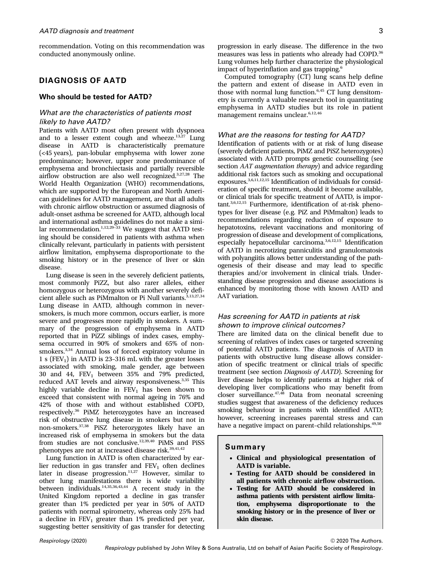recommendation. Voting on this recommendation was conducted anonymously online.

### DIAGNOSIS OF AATD

#### Who should be tested for AATD?

### What are the characteristics of patients most likely to have AATD?

Patients with AATD most often present with dyspnoea and to a lesser extent cough and wheeze. $13,27$  Lung disease in AATD is characteristically premature (<45 years), pan-lobular emphysema with lower zone predominance; however, upper zone predominance of emphysema and bronchiectasis and partially reversible airflow obstruction are also well recognized.3,27,28 The World Health Organization (WHO) recommendations, which are supported by the European and North American guidelines for AATD management, are that all adults with chronic airflow obstruction or assumed diagnosis of adult-onset asthma be screened for AATD, although local and international asthma guidelines do not make a similar recommendation. $1,12,29-33$  We suggest that AATD testing should be considered in patients with asthma when clinically relevant, particularly in patients with persistent airflow limitation, emphysema disproportionate to the smoking history or in the presence of liver or skin disease.

Lung disease is seen in the severely deficient patients, most commonly PiZZ, but also rarer alleles, either homozygous or heterozygous with another severely deficient allele such as PiMmalton or Pi Null variants.<sup>3,13,27,34</sup> Lung disease in AATD, although common in neversmokers, is much more common, occurs earlier, is more severe and progresses more rapidly in smokers. A summary of the progression of emphysema in AATD reported that in PiZZ siblings of index cases, emphysema occurred in 90% of smokers and 65% of nonsmokers.3,34 Annual loss of forced expiratory volume in 1 s ( $FEV<sub>1</sub>$ ) in AATD is 23-316 mL with the greater losses associated with smoking, male gender, age between 30 and 44,  $FEV_1$  between 35% and 79% predicted, reduced AAT levels and airway responsiveness.<sup>3,35</sup> This highly variable decline in  $FEV<sub>1</sub>$  has been shown to exceed that consistent with normal ageing in 76% and 42% of those with and without established COPD, respectively.36 PiMZ heterozygotes have an increased risk of obstructive lung disease in smokers but not in non-smokers.37,38 PiSZ heterozygotes likely have an increased risk of emphysema in smokers but the data from studies are not conclusive.<sup>12,39,40</sup> PiMS and PiSS phenotypes are not at increased disease risk.<sup>39,41,42</sup>

Lung function in AATD is often characterized by earlier reduction in gas transfer and  $FEV<sub>1</sub>$  often declines later in disease progression.<sup>11,27</sup> However, similar to other lung manifestations there is wide variability between individuals.14,35,36,43,44 A recent study in the United Kingdom reported a decline in gas transfer greater than 1% predicted per year in 50% of AATD patients with normal spirometry, whereas only 25% had a decline in  $FEV_1$  greater than 1% predicted per year, suggesting better sensitivity of gas transfer for detecting progression in early disease. The difference in the two measures was less in patients who already had COPD.<sup>36</sup> Lung volumes help further characterize the physiological impact of hyperinflation and gas trapping.<sup>6</sup>

Computed tomography (CT) lung scans help define the pattern and extent of disease in AATD even in those with normal lung function. $6,45$  CT lung densitometry is currently a valuable research tool in quantitating emphysema in AATD studies but its role in patient management remains unclear.<sup>6,12,46</sup>

#### What are the reasons for testing for AATD?

Identification of patients with or at risk of lung disease (severely deficient patients, PiMZ and PiSZ heterozygotes) associated with AATD prompts genetic counselling (see section AAT augmentation therapy) and advice regarding additional risk factors such as smoking and occupational exposures.3,6,11,12,15 Identification of individuals for consideration of specific treatment, should it become available, or clinical trials for specific treatment of AATD, is important.3,6,12,15 Furthermore, identification of at-risk phenotypes for liver disease (e.g. PiZ and PiMmalton) leads to recommendations regarding reduction of exposure to hepatotoxins, relevant vaccinations and monitoring of progression of disease and development of complications, especially hepatocellular carcinoma.3,6,12,15 Identification of AATD in necrotizing panniculitis and granulomatosis with polyangiitis allows better understanding of the pathogenesis of their disease and may lead to specific therapies and/or involvement in clinical trials. Understanding disease progression and disease associations is enhanced by monitoring those with known AATD and AAT variation.

### Has screening for AATD in patients at risk shown to improve clinical outcomes?

There are limited data on the clinical benefit due to screening of relatives of index cases or targeted screening of potential AATD patients. The diagnosis of AATD in patients with obstructive lung disease allows consideration of specific treatment or clinical trials of specific treatment (see section Diagnosis of AATD). Screening for liver disease helps to identify patients at higher risk of developing liver complications who may benefit from closer surveillance. $47,48$  Data from neonatal screening studies suggest that awareness of the deficiency reduces smoking behaviour in patients with identified AATD; however, screening increases parental stress and can have a negative impact on parent-child relationships.<sup>49,50</sup>

#### Summary

- Clinical and physiological presentation of AATD is variable.
- Testing for AATD should be considered in all patients with chronic airflow obstruction.
- Testing for AATD should be considered in asthma patients with persistent airflow limitation, emphysema disproportionate to the smoking history or in the presence of liver or skin disease.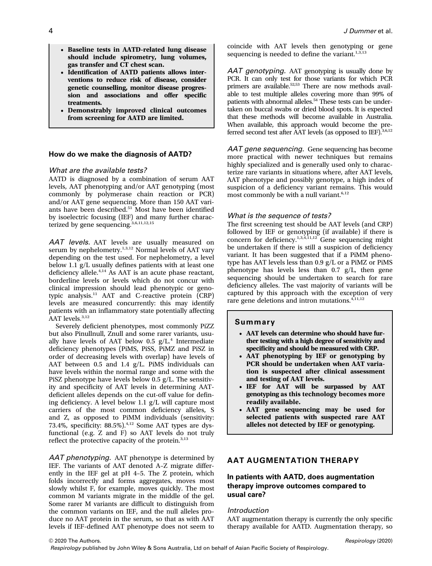- Baseline tests in AATD-related lung disease should include spirometry, lung volumes, gas transfer and CT chest scan.
- Identification of AATD patients allows interventions to reduce risk of disease, consider genetic counselling, monitor disease progression and associations and offer specific treatments.
- Demonstrably improved clinical outcomes from screening for AATD are limited.

#### How do we make the diagnosis of AATD?

#### What are the available tests?

AATD is diagnosed by a combination of serum AAT levels, AAT phenotyping and/or AAT genotyping (most commonly by polymerase chain reaction or PCR) and/or AAT gene sequencing. More than 150 AAT variants have been described.<sup>51</sup> Most have been identified by isoelectric focusing (IEF) and many further characterized by gene sequencing.<sup>3,6,11,12,15</sup>

AAT levels. AAT levels are usually measured on serum by nephelometry.<sup>1,3,12</sup> Normal levels of AAT vary depending on the test used. For nephelometry, a level below 1.1 g/L usually defines patients with at least one deficiency allele.4,14 As AAT is an acute phase reactant, borderline levels or levels which do not concur with clinical impression should lead phenotypic or genotypic analysis.<sup>11</sup> AAT and C-reactive protein (CRP) levels are measured concurrently: this may identify patients with an inflammatory state potentially affecting AAT levels.<sup>3,12</sup>

Severely deficient phenotypes, most commonly PiZZ but also Pinullnull, Znull and some rarer variants, usually have levels of AAT below  $0.5$  g/L.<sup>4</sup> Intermediate deficiency phenotypes (PiMS, PiSS, PiMZ and PiSZ in order of decreasing levels with overlap) have levels of AAT between 0.5 and 1.4 g/L. PiMS individuals can have levels within the normal range and some with the PiSZ phenotype have levels below 0.5 g/L. The sensitivity and specificity of AAT levels in determining AATdeficient alleles depends on the cut-off value for defining deficiency. A level below 1.1 g/L will capture most carriers of the most common deficiency alleles, S and Z, as opposed to PiMM individuals (sensitivity: 73.4%, specificity: 88.5%).4,12 Some AAT types are dysfunctional (e.g. Z and F) so AAT levels do not truly reflect the protective capacity of the protein.<sup>3,13</sup>

AAT phenotyping. AAT phenotype is determined by IEF. The variants of AAT denoted A–Z migrate differently in the IEF gel at pH 4–5. The Z protein, which folds incorrectly and forms aggregates, moves most slowly whilst F, for example, moves quickly. The most common M variants migrate in the middle of the gel. Some rarer M variants are difficult to distinguish from the common variants on IEF, and the null alleles produce no AAT protein in the serum, so that as with AAT levels if IEF-defined AAT phenotype does not seem to

coincide with AAT levels then genotyping or gene sequencing is needed to define the variant. $1,3,13$ 

AAT genotyping. AAT genotyping is usually done by PCR. It can only test for those variants for which PCR primers are available.52,53 There are now methods available to test multiple alleles covering more than 99% of patients with abnormal alleles.<sup>54</sup> These tests can be undertaken on buccal swabs or dried blood spots. It is expected that these methods will become available in Australia. When available, this approach would become the preferred second test after  $\bar{A}AT$  levels (as opposed to IEF).  $3,6,12$ 

AAT gene sequencing. Gene sequencing has become more practical with newer techniques but remains highly specialized and is generally used only to characterize rare variants in situations where, after AAT levels, AAT phenotype and possibly genotype, a high index of suspicion of a deficiency variant remains. This would most commonly be with a null variant. $6,12$ 

#### What is the sequence of tests?

The first screening test should be AAT levels (and CRP) followed by IEF or genotyping (if available) if there is concern for deficiency.<sup>1,3,4,11,12</sup> Gene sequencing might be undertaken if there is still a suspicion of deficiency variant. It has been suggested that if a PiMM phenotype has AAT levels less than 0.9 g/L or a PiMZ or PiMS phenotype has levels less than 0.7 g/L, then gene sequencing should be undertaken to search for rare deficiency alleles. The vast majority of variants will be captured by this approach with the exception of very rare gene deletions and intron mutations.<sup>4,11,12</sup>

#### Summary

- AAT levels can determine who should have further testing with a high degree of sensitivity and specificity and should be measured with CRP.
- AAT phenotyping by IEF or genotyping by PCR should be undertaken when AAT variation is suspected after clinical assessment and testing of AAT levels.
- IEF for AAT will be surpassed by AAT genotyping as this technology becomes more readily available.
- AAT gene sequencing may be used for selected patients with suspected rare AAT alleles not detected by IEF or genotyping.

### AAT AUGMENTATION THERAPY

### In patients with AATD, does augmentation therapy improve outcomes compared to usual care?

#### Introduction

AAT augmentation therapy is currently the only specific therapy available for AATD. Augmentation therapy, so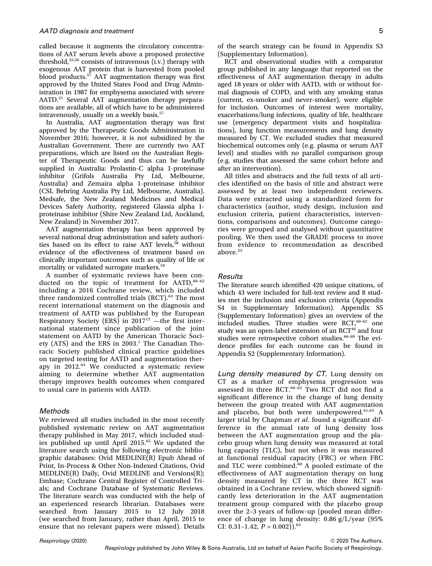called because it augments the circulatory concentrations of AAT serum levels above a proposed protective threshold,<sup>55,56</sup> consists of intravenous  $(i.v.)$  therapy with exogenous AAT protein that is harvested from pooled blood products.<sup>57</sup> AAT augmentation therapy was first approved by the United States Food and Drug Administration in 1987 for emphysema associated with severe AATD.<sup>21</sup> Several AAT augmentation therapy preparations are available, all of which have to be administered intravenously, usually on a weekly basis.<sup>57</sup>

In Australia, AAT augmentation therapy was first approved by the Therapeutic Goods Administration in November 2016; however, it is not subsidized by the Australian Government. There are currently two AAT preparations, which are listed on the Australian Register of Therapeutic Goods and thus can be lawfully supplied in Australia: Prolastin-C alpha 1-proteinase inhibitor (Grifols Australia Pty Ltd, Melbourne, Australia) and Zemaira alpha 1-proteinase inhibitor (CSL Behring Australia Pty Ltd, Melbourne, Australia). Medsafe, the New Zealand Medicines and Medical Devices Safety Authority, registered Glassia alpha 1 proteinase inhibitor (Shire New Zealand Ltd, Auckland, New Zealand) in November 2017.

AAT augmentation therapy has been approved by several national drug administration and safety authorities based on its effect to raise AAT levels,<sup>58</sup> without evidence of the effectiveness of treatment based on clinically important outcomes such as quality of life or mortality or validated surrogate markers.<sup>59</sup>

A number of systematic reviews have been conducted on the topic of treatment for AATD,  $60-62$ including a 2016 Cochrane review, which included three randomized controlled trials (RCT).<sup>63</sup> The most recent international statement on the diagnosis and treatment of AATD was published by the European Respiratory Society (ERS) in  $2017^{12}$  —the first international statement since publication of the joint statement on AATD by the American Thoracic Society (ATS) and the ERS in  $2003.<sup>1</sup>$  The Canadian Thoracic Society published clinical practice guidelines on targeted testing for AATD and augmentation therapy in 2012.<sup>64</sup> We conducted a systematic review aiming to determine whether AAT augmentation therapy improves health outcomes when compared to usual care in patients with AATD.

#### Methods

We reviewed all studies included in the most recently published systematic review on AAT augmentation therapy published in May 2017, which included studies published up until April 2015.<sup>65</sup> We updated the literature search using the following electronic bibliographic databases: Ovid MEDLINE(R) Epub Ahead of Print, In-Process & Other Non-Indexed Citations, Ovid MEDLINE(R) Daily, Ovid MEDLINE and Versions(R); Embase; Cochrane Central Register of Controlled Trials; and Cochrane Database of Systematic Reviews. The literature search was conducted with the help of an experienced research librarian. Databases were searched from January 2015 to 12 July 2018 (we searched from January, rather than April, 2015 to ensure that no relevant papers were missed). Details

of the search strategy can be found in Appendix S3 (Supplementary Information).

RCT and observational studies with a comparator group published in any language that reported on the effectiveness of AAT augmentation therapy in adults aged 18 years or older with AATD, with or without formal diagnosis of COPD, and with any smoking status (current, ex-smoker and never-smoker), were eligible for inclusion. Outcomes of interest were mortality, exacerbations/lung infections, quality of life, healthcare use (emergency department visits and hospitalizations), lung function measurements and lung density measured by CT. We excluded studies that measured biochemical outcomes only (e.g. plasma or serum AAT level) and studies with no parallel comparison group (e.g. studies that assessed the same cohort before and after an intervention).

All titles and abstracts and the full texts of all articles identified on the basis of title and abstract were assessed by at least two independent reviewers. Data were extracted using a standardized form for characteristics (author, study design, inclusion and exclusion criteria, patient characteristics, interventions, comparisons and outcomes). Outcome categories were grouped and analysed without quantitative pooling. We then used the GRADE process to move from evidence to recommendation as described above.<sup>25</sup>

### **Results**

The literature search identified 420 unique citations, of which 43 were included for full-text review and 8 studies met the inclusion and exclusion criteria (Appendix S4 in Supplementary Information). Appendix S5 (Supplementary Information) gives an overview of the included studies. Three studies were RCT, $60-62$  one study was an open-label extension of an RCT<sup>46</sup> and four studies were retrospective cohort studies.<sup>66-69</sup> The evidence profiles for each outcome can be found in Appendix S2 (Supplementary Information).

Lung density measured by CT. Lung density on CT as a marker of emphysema progression was assessed in three RCT. $60 - 62$  Two RCT did not find a significant difference in the change of lung density between the group treated with AAT augmentation and placebo, but both were underpowered.<sup>61,62</sup> A larger trial by Chapman et al. found a significant difference in the annual rate of lung density loss between the AAT augmentation group and the placebo group when lung density was measured at total lung capacity (TLC), but not when it was measured at functional residual capacity (FRC) or when FRC and TLC were combined. $60$  A pooled estimate of the effectiveness of AAT augmentation therapy on lung density measured by CT in the three RCT was obtained in a Cochrane review, which showed significantly less deterioration in the AAT augmentation treatment group compared with the placebo group over the 2–3 years of follow-up (pooled mean difference of change in lung density: 0.86 g/L/year (95% CI: 0.31-1.42,  $P = 0.002$ ).<sup>63</sup>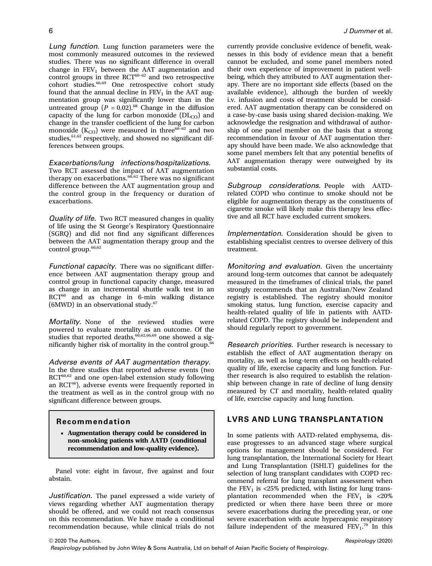Lung function. Lung function parameters were the most commonly measured outcomes in the reviewed studies. There was no significant difference in overall change in  $FEV<sub>1</sub>$  between the AAT augmentation and control groups in three  $RCT^{60-62}$  and two retrospective cohort studies.<sup>66,69</sup> One retrospective cohort study found that the annual decline in  $FEV<sub>1</sub>$  in the AAT augmentation group was significantly lower than in the untreated group ( $P = 0.02$ ).<sup>68</sup> Change in the diffusion capacity of the lung for carbon monoxide  $(DL_{CO})$  and change in the transfer coefficient of the lung for carbon monoxide  $(K_{CO})$  were measured in three<sup>60-62</sup> and two studies,<sup>61,62</sup> respectively, and showed no significant differences between groups.

#### Exacerbations/lung infections/hospitalizations.

Two RCT assessed the impact of AAT augmentation therapy on exacerbations. $60,62$  There was no significant difference between the AAT augmentation group and the control group in the frequency or duration of exacerbations.

Quality of life. Two RCT measured changes in quality of life using the St George's Respiratory Questionnaire (SGRQ) and did not find any significant differences between the AAT augmentation therapy group and the control group.<sup>60,62</sup>

Functional capacity. There was no significant difference between AAT augmentation therapy group and control group in functional capacity change, measured as change in an incremental shuttle walk test in an RCT<sup>60</sup> and as change in 6-min walking distance (6MWD) in an observational study.67

Mortality. None of the reviewed studies were powered to evaluate mortality as an outcome. Of the studies that reported deaths,  $60,62,66,69$  one showed a significantly higher risk of mortality in the control group.<sup>66</sup>

#### Adverse events of AAT augmentation therapy.

In the three studies that reported adverse events (two RCT<sup>60,62</sup> and one open-label extension study following an RCT<sup>46</sup>), adverse events were frequently reported in the treatment as well as in the control group with no significant difference between groups.

#### Recommendation

• Augmentation therapy could be considered in non-smoking patients with AATD (conditional recommendation and low-quality evidence).

Panel vote: eight in favour, five against and four abstain.

Justification. The panel expressed a wide variety of views regarding whether AAT augmentation therapy should be offered, and we could not reach consensus on this recommendation. We have made a conditional recommendation because, while clinical trials do not

currently provide conclusive evidence of benefit, weaknesses in this body of evidence mean that a benefit cannot be excluded, and some panel members noted their own experience of improvement in patient wellbeing, which they attributed to AAT augmentation therapy. There are no important side effects (based on the available evidence), although the burden of weekly i.v. infusion and costs of treatment should be considered. AAT augmentation therapy can be considered on a case-by-case basis using shared decision-making. We acknowledge the resignation and withdrawal of authorship of one panel member on the basis that a strong recommendation in favour of AAT augmentation therapy should have been made. We also acknowledge that some panel members felt that any potential benefits of AAT augmentation therapy were outweighed by its substantial costs.

Subgroup considerations. People with AATDrelated COPD who continue to smoke should not be eligible for augmentation therapy as the constituents of cigarette smoke will likely make this therapy less effective and all RCT have excluded current smokers.

Implementation. Consideration should be given to establishing specialist centres to oversee delivery of this treatment.

Monitoring and evaluation. Given the uncertainty around long-term outcomes that cannot be adequately measured in the timeframes of clinical trials, the panel strongly recommends that an Australian/New Zealand registry is established. The registry should monitor smoking status, lung function, exercise capacity and health-related quality of life in patients with AATDrelated COPD. The registry should be independent and should regularly report to government.

Research priorities. Further research is necessary to establish the effect of AAT augmentation therapy on mortality, as well as long-term effects on health-related quality of life, exercise capacity and lung function. Further research is also required to establish the relationship between change in rate of decline of lung density measured by CT and mortality, health-related quality of life, exercise capacity and lung function.

### LVRS AND LUNG TRANSPLANTATION

In some patients with AATD-related emphysema, disease progresses to an advanced stage where surgical options for management should be considered. For lung transplantation, the International Society for Heart and Lung Transplantation (ISHLT) guidelines for the selection of lung transplant candidates with COPD recommend referral for lung transplant assessment when the  $FEV<sub>1</sub>$  is <25% predicted, with listing for lung transplantation recommended when the  $FEV<sub>1</sub>$  is <20% predicted or when there have been three or more severe exacerbations during the preceding year, or one severe exacerbation with acute hypercapnic respiratory failure independent of the measured  $FEV<sub>1</sub>$ .<sup>70</sup> In this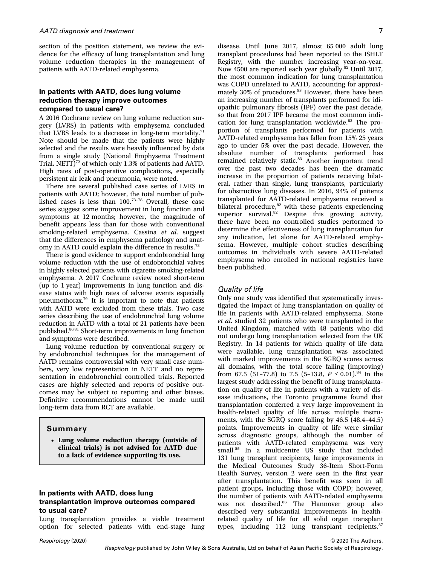section of the position statement, we review the evidence for the efficacy of lung transplantation and lung volume reduction therapies in the management of patients with AATD-related emphysema.

### In patients with AATD, does lung volume reduction therapy improve outcomes compared to usual care?

A 2016 Cochrane review on lung volume reduction surgery (LVRS) in patients with emphysema concluded that LVRS leads to a decrease in long-term mortality.<sup>71</sup> Note should be made that the patients were highly selected and the results were heavily influenced by data from a single study (National Emphysema Treatment Trial, NETT $)^{72}$  of which only 1.3% of patients had AATD. High rates of post-operative complications, especially persistent air leak and pneumonia, were noted.

There are several published case series of LVRS in patients with AATD; however, the total number of published cases is less than  $100.^{73-78}$  Overall, these case series suggest some improvement in lung function and symptoms at 12 months; however, the magnitude of benefit appears less than for those with conventional smoking-related emphysema. Cassina et al. suggest that the differences in emphysema pathology and anatomy in AATD could explain the difference in results.<sup>73</sup>

There is good evidence to support endobronchial lung volume reduction with the use of endobronchial valves in highly selected patients with cigarette smoking-related emphysema. A 2017 Cochrane review noted short-term (up to 1 year) improvements in lung function and disease status with high rates of adverse events especially pneumothorax.79 It is important to note that patients with AATD were excluded from these trials. Two case series describing the use of endobronchial lung volume reduction in AATD with a total of 21 patients have been published. $80,81$  Short-term improvements in lung function and symptoms were described.

Lung volume reduction by conventional surgery or by endobronchial techniques for the management of AATD remains controversial with very small case numbers, very low representation in NETT and no representation in endobronchial controlled trials. Reported cases are highly selected and reports of positive outcomes may be subject to reporting and other biases. Definitive recommendations cannot be made until long-term data from RCT are available.

#### Summary

• Lung volume reduction therapy (outside of clinical trials) is not advised for AATD due to a lack of evidence supporting its use.

### In patients with AATD, does lung transplantation improve outcomes compared to usual care?

Lung transplantation provides a viable treatment option for selected patients with end-stage lung disease. Until June 2017, almost 65 000 adult lung transplant procedures had been reported to the ISHLT Registry, with the number increasing year-on-year. Now 4500 are reported each year globally.<sup>82</sup> Until 2017, the most common indication for lung transplantation was COPD unrelated to AATD, accounting for approximately 30% of procedures.<sup>83</sup> However, there have been an increasing number of transplants performed for idiopathic pulmonary fibrosis (IPF) over the past decade, so that from 2017 IPF became the most common indication for lung transplantation worldwide. $82$  The proportion of transplants performed for patients with AATD-related emphysema has fallen from 15% 25 years ago to under 5% over the past decade. However, the absolute number of transplants performed has remained relatively static.<sup>83</sup> Another important trend over the past two decades has been the dramatic increase in the proportion of patients receiving bilateral, rather than single, lung transplants, particularly for obstructive lung diseases. In 2016, 94% of patients transplanted for AATD-related emphysema received a bilateral procedure,<sup>82</sup> with these patients experiencing superior survival.<sup>82</sup> Despite this growing activity, there have been no controlled studies performed to determine the effectiveness of lung transplantation for any indication, let alone for AATD-related emphysema. However, multiple cohort studies describing outcomes in individuals with severe AATD-related emphysema who enrolled in national registries have been published.

#### Quality of life

Only one study was identified that systematically investigated the impact of lung transplantation on quality of life in patients with AATD-related emphysema. Stone et al. studied 32 patients who were transplanted in the United Kingdom, matched with 48 patients who did not undergo lung transplantation selected from the UK Registry. In 14 patients for which quality of life data were available, lung transplantation was associated with marked improvements in the SGRQ scores across all domains, with the total score falling (improving) from 67.5 (51-77.8) to 7.5 (5-13.8,  $P \le 0.01$ ).<sup>84</sup> In the largest study addressing the benefit of lung transplantation on quality of life in patients with a variety of disease indications, the Toronto programme found that transplantation conferred a very large improvement in health-related quality of life across multiple instruments, with the SGRQ score falling by 46.5 (48.4–44.5) points. Improvements in quality of life were similar across diagnostic groups, although the number of patients with AATD-related emphysema was very small.<sup>85</sup> In a multicentre US study that included 131 lung transplant recipients, large improvements in the Medical Outcomes Study 36-Item Short-Form Health Survey, version 2 were seen in the first year after transplantation. This benefit was seen in all patient groups, including those with COPD; however, the number of patients with AATD-related emphysema was not described.<sup>86</sup> The Hannover group also described very substantial improvements in healthrelated quality of life for all solid organ transplant types, including 112 lung transplant recipients.<sup>87</sup>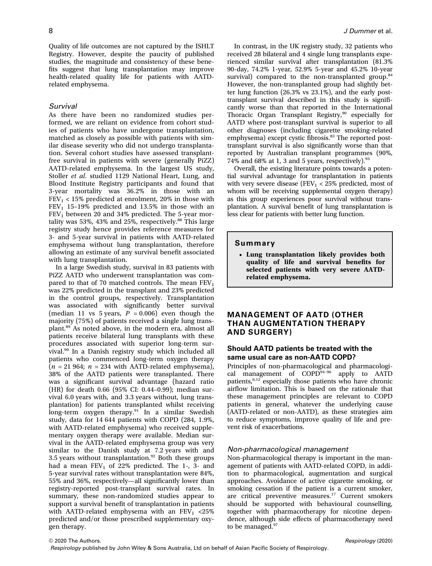Quality of life outcomes are not captured by the ISHLT Registry. However, despite the paucity of published studies, the magnitude and consistency of these benefits suggest that lung transplantation may improve health-related quality life for patients with AATDrelated emphysema.

#### **Survival**

As there have been no randomized studies performed, we are reliant on evidence from cohort studies of patients who have undergone transplantation, matched as closely as possible with patients with similar disease severity who did not undergo transplantation. Several cohort studies have assessed transplantfree survival in patients with severe (generally PiZZ) AATD-related emphysema. In the largest US study, Stoller et al. studied 1129 National Heart, Lung, and Blood Institute Registry participants and found that 3-year mortality was 36.2% in those with an  $FEV<sub>1</sub> < 15%$  predicted at enrolment, 20% in those with  $FEV<sub>1</sub>$  15-19% predicted and 13.5% in those with an  $FEV<sub>1</sub>$  between 20 and 34% predicted. The 5-year mortality was 53%, 43% and 25%, respectively.<sup>88</sup> This large registry study hence provides reference measures for 3- and 5-year survival in patients with AATD-related emphysema without lung transplantation, therefore allowing an estimate of any survival benefit associated with lung transplantation.

In a large Swedish study, survival in 83 patients with PiZZ AATD who underwent transplantation was compared to that of 70 matched controls. The mean  $FEV<sub>1</sub>$ was 22% predicted in the transplant and 23% predicted in the control groups, respectively. Transplantation was associated with significantly better survival (median 11 vs 5 years,  $P = 0.006$ ) even though the majority (75%) of patients received a single lung transplant.<sup>89</sup> As noted above, in the modern era, almost all patients receive bilateral lung transplants with these procedures associated with superior long-term survival.<sup>90</sup> In a Danish registry study which included all patients who commenced long-term oxygen therapy  $(n = 21964; n = 234$  with AATD-related emphysema), 38% of the AATD patients were transplanted. There was a significant survival advantage (hazard ratio (HR) for death 0.66 (95% CI: 0.44–0.99); median survival 6.0 years with, and 3.3 years without, lung transplantation) for patients transplanted whilst receiving long-term oxygen therapy.<sup>91</sup> In a similar Swedish study, data for 14 644 patients with COPD (284, 1.9%, with AATD-related emphysema) who received supplementary oxygen therapy were available. Median survival in the AATD-related emphysema group was very similar to the Danish study at 7.2 years with and 3.5 years without transplantation. $92$  Both these groups had a mean  $FEV_1$  of 22% predicted. The 1-, 3- and 5-year survival rates without transplantation were 84%, 55% and 36%, respectively—all significantly lower than registry-reported post-transplant survival rates. In summary, these non-randomized studies appear to support a survival benefit of transplantation in patients with AATD-related emphysema with an  $FEV<sub>1</sub> < 25%$ predicted and/or those prescribed supplementary oxygen therapy.

In contrast, in the UK registry study, 32 patients who received 28 bilateral and 4 single lung transplants experienced similar survival after transplantation (81.3% 90-day, 74.2% 1-year, 52.9% 5-year and 45.2% 10-year survival) compared to the non-transplanted group. $84$ However, the non-transplanted group had slightly better lung function (26.3% vs 23.1%), and the early posttransplant survival described in this study is significantly worse than that reported in the International Thoracic Organ Transplant Registry,<sup>90</sup> especially for AATD where post-transplant survival is superior to all other diagnoses (including cigarette smoking-related emphysema) except cystic fibrosis.<sup>83</sup> The reported posttransplant survival is also significantly worse than that reported by Australian transplant programmes (90%, 74% and 68% at 1, 3 and 5 years, respectively). $93$ 

Overall, the existing literature points towards a potential survival advantage for transplantation in patients with very severe disease (FEV<sub>1</sub> <  $25\%$  predicted, most of whom will be receiving supplemental oxygen therapy) as this group experiences poor survival without transplantation. A survival benefit of lung transplantation is less clear for patients with better lung function.

#### Summary

• Lung transplantation likely provides both quality of life and survival benefits for selected patients with very severe AATDrelated emphysema.

### MANAGEMENT OF AATD (OTHER THAN AUGMENTATION THERAPY AND SURGERY)

### Should AATD patients be treated with the same usual care as non-AATD COPD?

Principles of non-pharmacological and pharmacological management of  $COPD<sup>94-96</sup>$  apply to AATD patients,<sup>6,12</sup> especially those patients who have chronic airflow limitation. This is based on the rationale that these management principles are relevant to COPD patients in general, whatever the underlying cause (AATD-related or non-AATD), as these strategies aim to reduce symptoms, improve quality of life and prevent risk of exacerbations.

#### Non-pharmacological management

Non-pharmacological therapy is important in the management of patients with AATD-related COPD, in addition to pharmacological, augmentation and surgical approaches. Avoidance of active cigarette smoking, or smoking cessation if the patient is a current smoker, are critical preventive measures.<sup>17</sup> Current smokers should be supported with behavioural counselling, together with pharmacotherapy for nicotine dependence, although side effects of pharmacotherapy need to be managed.<sup>97</sup>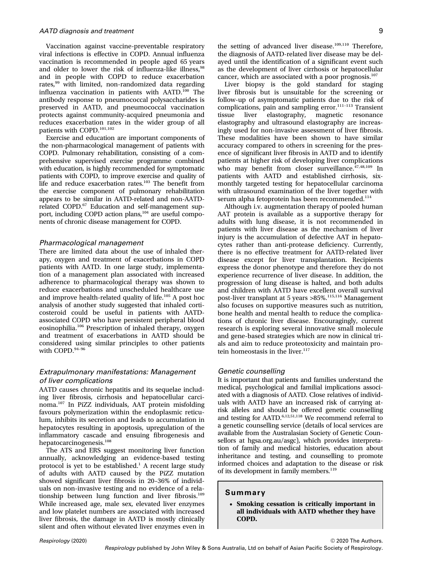Vaccination against vaccine-preventable respiratory viral infections is effective in COPD. Annual influenza vaccination is recommended in people aged 65 years and older to lower the risk of influenza-like illness.<sup>98</sup> and in people with COPD to reduce exacerbation rates,<sup>99</sup> with limited, non-randomized data regarding influenza vaccination in patients with AATD.<sup>100</sup> The antibody response to pneumococcal polysaccharides is preserved in AATD, and pneumococcal vaccination protects against community-acquired pneumonia and reduces exacerbation rates in the wider group of all patients with COPD.101,102

Exercise and education are important components of the non-pharmacological management of patients with COPD. Pulmonary rehabilitation, consisting of a comprehensive supervised exercise programme combined with education, is highly recommended for symptomatic patients with COPD, to improve exercise and quality of life and reduce exacerbation rates.<sup>103</sup> The benefit from the exercise component of pulmonary rehabilitation appears to be similar in AATD-related and non-AATDrelated COPD.<sup>67</sup> Education and self-management support, including COPD action plans,<sup>104</sup> are useful components of chronic disease management for COPD.

#### Pharmacological management

There are limited data about the use of inhaled therapy, oxygen and treatment of exacerbations in COPD patients with AATD. In one large study, implementation of a management plan associated with increased adherence to pharmacological therapy was shown to reduce exacerbations and unscheduled healthcare use and improve health-related quality of life.<sup>105</sup> A post hoc analysis of another study suggested that inhaled corticosteroid could be useful in patients with AATDassociated COPD who have persistent peripheral blood eosinophilia.<sup>106</sup> Prescription of inhaled therapy, oxygen and treatment of exacerbations in AATD should be considered using similar principles to other patients with COPD.<sup>94-96</sup>

### Extrapulmonary manifestations: Management of liver complications

AATD causes chronic hepatitis and its sequelae including liver fibrosis, cirrhosis and hepatocellular carcinoma.<sup>107</sup> In PiZZ individuals, AAT protein misfolding favours polymerization within the endoplasmic reticulum, inhibits its secretion and leads to accumulation in hepatocytes resulting in apoptosis, upregulation of the inflammatory cascade and ensuing fibrogenesis and hepatocarcinogenesis.<sup>108</sup>

The ATS and ERS suggest monitoring liver function annually, acknowledging an evidence-based testing protocol is yet to be established.<sup>1</sup> A recent large study of adults with AATD caused by the PiZZ mutation showed significant liver fibrosis in 20–36% of individuals on non-invasive testing and no evidence of a relationship between lung function and liver fibrosis.<sup>109</sup> While increased age, male sex, elevated liver enzymes and low platelet numbers are associated with increased liver fibrosis, the damage in AATD is mostly clinically silent and often without elevated liver enzymes even in

the setting of advanced liver disease.<sup>109,110</sup> Therefore, the diagnosis of AATD-related liver disease may be delayed until the identification of a significant event such as the development of liver cirrhosis or hepatocellular cancer, which are associated with a poor prognosis. $107$ 

Liver biopsy is the gold standard for staging liver fibrosis but is unsuitable for the screening or follow-up of asymptomatic patients due to the risk of complications, pain and sampling error.<sup>111-113</sup> Transient<br>tissue liver elastography, magnetic resonance magnetic resonance elastography and ultrasound elastography are increasingly used for non-invasive assessment of liver fibrosis. These modalities have been shown to have similar accuracy compared to others in screening for the presence of significant liver fibrosis in AATD and to identify patients at higher risk of developing liver complications who may benefit from closer surveillance.<sup>47,48,109</sup> In patients with AATD and established cirrhosis, sixmonthly targeted testing for hepatocellular carcinoma with ultrasound examination of the liver together with serum alpha fetoprotein has been recommended.<sup>114</sup>

Although i.v. augmentation therapy of pooled human AAT protein is available as a supportive therapy for adults with lung disease, it is not recommended in patients with liver disease as the mechanism of liver injury is the accumulation of defective AAT in hepatocytes rather than anti-protease deficiency. Currently, there is no effective treatment for AATD-related liver disease except for liver transplantation. Recipients express the donor phenotype and therefore they do not experience recurrence of liver disease. In addition, the progression of lung disease is halted, and both adults and children with AATD have excellent overall survival post-liver transplant at 5 years >85%.115,116 Management also focuses on supportive measures such as nutrition, bone health and mental health to reduce the complications of chronic liver disease. Encouragingly, current research is exploring several innovative small molecule and gene-based strategies which are now in clinical trials and aim to reduce proteotoxicity and maintain protein homeostasis in the liver.<sup>117</sup>

#### Genetic counselling

It is important that patients and families understand the medical, psychological and familial implications associated with a diagnosis of AATD. Close relatives of individuals with AATD have an increased risk of carrying atrisk alleles and should be offered genetic counselling and testing for AATD. $6,12,51,118$  We recommend referral to a genetic counselling service (details of local services are available from the Australasian Society of Genetic Counsellors at [hgsa.org.au/asgc](http://hgsa.org.au/asgc)), which provides interpretation of family and medical histories, education about inheritance and testing, and counselling to promote informed choices and adaptation to the disease or risk of its development in family members.<sup>119</sup>

#### Summary

• Smoking cessation is critically important in all individuals with AATD whether they have COPD.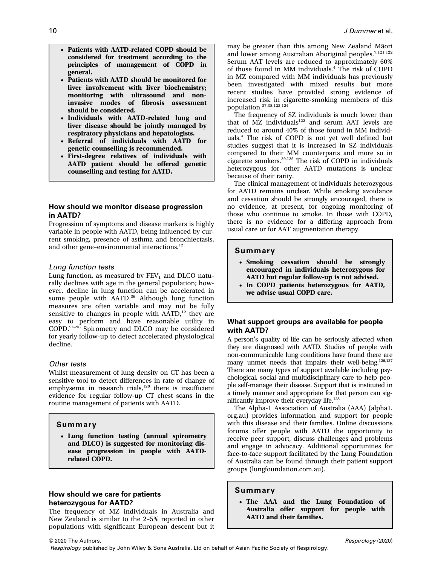- Patients with AATD-related COPD should be considered for treatment according to the principles of management of COPD in general.
- Patients with AATD should be monitored for liver involvement with liver biochemistry; monitoring with ultrasound and noninvasive modes of fibrosis assessment should be considered.
- Individuals with AATD-related lung and liver disease should be jointly managed by respiratory physicians and hepatologists.
- Referral of individuals with AATD for genetic counselling is recommended.
- First-degree relatives of individuals with AATD patient should be offered genetic counselling and testing for AATD.

### How should we monitor disease progression in AATD?

Progression of symptoms and disease markers is highly variable in people with AATD, being influenced by current smoking, presence of asthma and bronchiectasis, and other gene-environmental interactions.<sup>12</sup>

### Lung function tests

Lung function, as measured by  $FEV<sub>1</sub>$  and DLCO naturally declines with age in the general population; however, decline in lung function can be accelerated in some people with AATD.<sup>36</sup> Although lung function measures are often variable and may not be fully sensitive to changes in people with  $AATD$ ,<sup>12</sup> they are easy to perform and have reasonable utility in COPD.<sup>94</sup>–<sup>96</sup> Spirometry and DLCO may be considered for yearly follow-up to detect accelerated physiological decline.

#### Other tests

Whilst measurement of lung density on CT has been a sensitive tool to detect differences in rate of change of emphysema in research trials, $120$  there is insufficient evidence for regular follow-up CT chest scans in the routine management of patients with AATD.

#### Summary

• Lung function testing (annual spirometry and DLCO) is suggested for monitoring disease progression in people with AATDrelated COPD.

### How should we care for patients heterozygous for AATD?

The frequency of MZ individuals in Australia and New Zealand is similar to the 2–5% reported in other populations with significant European descent but it may be greater than this among New Zealand Māori and lower among Australian Aboriginal peoples.7,121,122 Serum AAT levels are reduced to approximately 60% of those found in MM individuals.<sup>4</sup> The risk of COPD in MZ compared with MM individuals has previously been investigated with mixed results but more recent studies have provided strong evidence of increased risk in cigarette-smoking members of this population.37,38,123,124

The frequency of SZ individuals is much lower than that of MZ individuals $122$  and serum AAT levels are reduced to around 40% of those found in MM individuals.<sup>4</sup> The risk of COPD is not yet well defined but studies suggest that it is increased in SZ individuals compared to their MM counterparts and more so in cigarette smokers.39,125 The risk of COPD in individuals heterozygous for other AATD mutations is unclear because of their rarity.

The clinical management of individuals heterozygous for AATD remains unclear. While smoking avoidance and cessation should be strongly encouraged, there is no evidence, at present, for ongoing monitoring of those who continue to smoke. In those with COPD, there is no evidence for a differing approach from usual care or for AAT augmentation therapy.

### Summary

- Smoking cessation should be strongly encouraged in individuals heterozygous for AATD but regular follow-up is not advised.
- In COPD patients heterozygous for AATD, we advise usual COPD care.

### What support groups are available for people with AATD?

A person's quality of life can be seriously affected when they are diagnosed with AATD. Studies of people with non-communicable lung conditions have found there are many unmet needs that impairs their well-being.<sup>126,127</sup> There are many types of support available including psychological, social and multidisciplinary care to help people self-manage their disease. Support that is instituted in a timely manner and appropriate for that person can significantly improve their everyday life.<sup>128</sup>

The Alpha-1 Association of Australia (AAA) ([alpha1.](http://alpha1.org.au) [org.au\)](http://alpha1.org.au) provides information and support for people with this disease and their families. Online discussions forums offer people with AATD the opportunity to receive peer support, discuss challenges and problems and engage in advocacy. Additional opportunities for face-to-face support facilitated by the Lung Foundation of Australia can be found through their patient support groups [\(lungfoundation.com.au\)](http://lungfoundation.com.au).

### Summary

• The AAA and the Lung Foundation of Australia offer support for people with AATD and their families.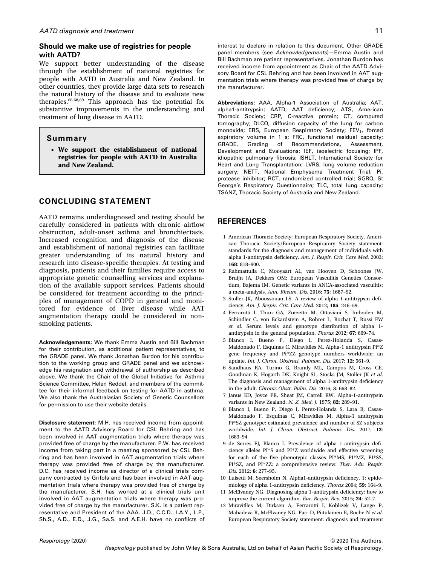### Should we make use of registries for people with AATD?

We support better understanding of the disease through the establishment of national registries for people with AATD in Australia and New Zealand. In other countries, they provide large data sets to research the natural history of the disease and to evaluate new therapies.66,68,69 This approach has the potential for substantive improvements in the understanding and treatment of lung disease in AATD.

### Summary

• We support the establishment of national registries for people with AATD in Australia and New Zealand.

### CONCLUDING STATEMENT

AATD remains underdiagnosed and testing should be carefully considered in patients with chronic airflow obstruction, adult-onset asthma and bronchiectasis. Increased recognition and diagnosis of the disease and establishment of national registries can facilitate greater understanding of its natural history and research into disease-specific therapies. At testing and diagnosis, patients and their families require access to appropriate genetic counselling services and explanation of the available support services. Patients should be considered for treatment according to the principles of management of COPD in general and monitored for evidence of liver disease while AAT augmentation therapy could be considered in nonsmoking patients.

Acknowledgements: We thank Emma Austin and Bill Bachman for their contribution, as additional patient representatives, to the GRADE panel. We thank Jonathan Burdon for his contribution to the working group and GRADE panel and we acknowledge his resignation and withdrawal of authorship as described above. We thank the Chair of the Global Initiative for Asthma Science Committee, Helen Reddel, and members of the committee for their informal feedback on testing for AATD in asthma. We also thank the Australasian Society of Genetic Counsellors for permission to use their website details.

Disclosure statement: M.H. has received income from appointment to the AATD Advisory Board for CSL Behring and has been involved in AAT augmentation trials where therapy was provided free of charge by the manufacturer. P.W. has received income from taking part in a meeting sponsored by CSL Behring and has been involved in AAT augmentation trials where therapy was provided free of charge by the manufacturer. D.C. has received income as director of a clinical trials company contracted by Grifols and has been involved in AAT augmentation trials where therapy was provided free of charge by the manufacturer. S.H. has worked at a clinical trials unit involved in AAT augmentation trials where therapy was provided free of charge by the manufacturer. S.K. is a patient representative and President of the AAA. J.D., C.C.D., I.A.Y., L.P., Sh.S., A.D., E.D., J.G., Sa.S. and A.E.H. have no conflicts of

interest to declare in relation to this document. Other GRADE panel members (see Acknowledgements)—Emma Austin and Bill Bachman are patient representatives. Jonathan Burdon has received income from appointment as Chair of the AATD Advisory Board for CSL Behring and has been involved in AAT augmentation trials where therapy was provided free of charge by the manufacturer.

Abbreviations: AAA, Alpha-1 Association of Australia; AAT, alpha1-antitrypsin; AATD, AAT deficiency; ATS, American Thoracic Society; CRP, C-reactive protein; CT, computed tomography; DLCO, diffusion capacity of the lung for carbon monoxide; ERS, European Respiratory Society; FEV<sub>1</sub>, forced expiratory volume in 1 s; FRC, functional residual capacity; GRADE, Grading of Recommendations, Assessment, Development and Evaluations; IEF, isoelectric focusing; IPF, idiopathic pulmonary fibrosis; ISHLT, International Society for Heart and Lung Transplantation; LVRS, lung volume reduction surgery; NETT, National Emphysema Treatment Trial; Pi, protease inhibitor; RCT, randomized controlled trial; SGRQ, St George's Respiratory Questionnaire; TLC, total lung capacity; TSANZ, Thoracic Society of Australia and New Zealand.

### **REFERENCES**

- 1 American Thoracic Society; European Respiratory Society. American Thoracic Society/European Respiratory Society statement: standards for the diagnosis and management of individuals with alpha 1-antitrypsin deficiency. Am. J. Respir. Crit. Care Med. 2003; 168: 818–900.
- 2 Rahmattulla C, Mooyaart AL, van Hooven D, Schoones JW, Bruijn JA, Dekkers OM; European Vasculitis Genetics Consortium, Bajema IM. Genetic variants in ANCA-associated vasculitis: a meta-analysis. Ann. Rheum. Dis. 2016; 75: 1687–92.
- 3 Stoller JK, Aboussouan LS. A review of alpha 1-antitrypsin deficiency. Am. J. Respir. Crit. Care Med. 2012; 185: 246–59.
- 4 Ferrarotti I, Thun GA, Zorzetto M, Ottaviani S, Imboden M, Schindler C, von Eckardstein A, Rohrer L, Rochat T, Russi EW et al. Serum levels and genotype distribution of alpha 1 antitrypsin in the general population. Thorax 2012; 67: 669–74.
- 5 Blanco I, Bueno P, Diego I, Perez-Holanda S, Casas-Maldonado F, Esquinas C, Miravitlles M. Alpha-1 antitrypsin Pi\*Z gene frequency and Pi\*ZZ genotype numbers worldwide: an update. Int. J. Chron. Obstruct. Pulmon. Dis. 2017; 12: 561–9.
- 6 Sandhaus RA, Turino G, Brantly ML, Campos M, Cross CE, Goodman K, Hogarth DK, Knight SL, Stocks JM, Stoller JK et al. The diagnosis and management of alpha 1-antitrypsin deficiency in the adult. Chronic Obstr. Pulm. Dis. 2016; 3: 668–82.
- 7 Janus ED, Joyce PR, Sheat JM, Carrell RW. Alpha-1-antitrypsin variants in New Zealand. N. Z. Med. J. 1975; 82: 289–91.
- 8 Blanco I, Bueno P, Diego I, Perez-Holanda S, Lara B, Casas-Maldonado F, Esquinas C, Miravitlles M. Alpha-1 antitrypsin Pi\*SZ genotype: estimated prevalence and number of SZ subjects worldwide. Int. J. Chron. Obstruct. Pulmon. Dis. 2017; 12: 1683–94.
- 9 de Serres FJ, Blanco I. Prevalence of alpha 1-antitrypsin deficiency alleles PI\*S and PI\*Z worldwide and effective screening for each of the five phenotypic classes PI\*MS, PI\*MZ, PI\*SS, PI\*SZ, and PI\*ZZ: a comprehensive review. Ther. Adv. Respir. Dis. 2012; 6: 277–95.
- 10 Luisetti M, Seersholm N. Alpha1-antitrypsin deficiency. 1: epidemiology of alpha 1-antitrypsin deficiency. Thorax 2004; 59: 164–9.
- 11 McElvaney NG. Diagnosing alpha 1-antitrypsin deficiency: how to improve the current algorithm. Eur. Respir. Rev. 2015; 24: 52–7.
- 12 Miravitlles M, Dirksen A, Ferrarotti I, Koblizek V, Lange P, Mahadeva R, McElvaney NG, Parr D, Piitulainen E, Roche N et al. European Respiratory Society statement: diagnosis and treatment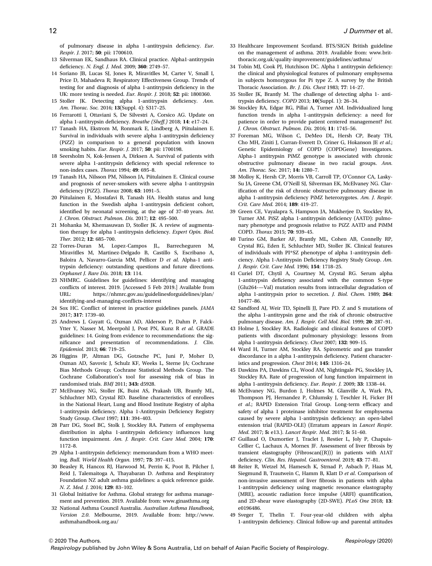of pulmonary disease in alpha 1-antitrypsin deficiency. Eur. Respir. J. 2017; 50: pii: 1700610.

- 13 Silverman EK, Sandhaus RA. Clinical practice. Alpha1-antitrypsin deficiency. N. Engl. J. Med. 2009; 360: 2749–57.
- 14 Soriano JB, Lucas SJ, Jones R, Miravitlles M, Carter V, Small I, Price D, Mahadeva R; Respiratory Effectiveness Group. Trends of testing for and diagnosis of alpha 1-antitrypsin deficiency in the UK: more testing is needed. Eur. Respir. J. 2018; 52: pii: 1800360.
- 15 Stoller JK. Detecting alpha 1-antitrypsin deficiency. Ann. Am. Thorac. Soc. 2016; 13(Suppl. 4): S317–25.
- 16 Ferrarotti I, Ottaviani S, De Silvestri A, Corsico AG. Update on alpha 1-antitrypsin deficiency. Breathe (Sheff.) 2018; 14: e17–24.
- 17 Tanash HA, Ekstrom M, Ronmark E, Lindberg A, Piitulainen E. Survival in individuals with severe alpha 1-antitrypsin deficiency (PiZZ) in comparison to a general population with known smoking habits. Eur. Respir. J. 2017; 50: pii: 1700198.
- 18 Seersholm N, Kok-Jensen A, Dirksen A. Survival of patients with severe alpha 1-antitrypsin deficiency with special reference to non-index cases. Thorax 1994; 49: 695–8.
- 19 Tanash HA, Nilsson PM, Nilsson JA, Piitulainen E. Clinical course and prognosis of never-smokers with severe alpha 1-antitrypsin deficiency (PiZZ). Thorax 2008; 63: 1091–5.
- 20 Piitulainen E, Mostafavi B, Tanash HA. Health status and lung function in the Swedish alpha 1-antitrypsin deficient cohort, identified by neonatal screening, at the age of 37-40 years. Int. J. Chron. Obstruct. Pulmon. Dis. 2017; 12: 495–500.
- 21 Mohanka M, Khemasuwan D, Stoller JK. A review of augmentation therapy for alpha 1-antitrypsin deficiency. Expert Opin. Biol. Ther. 2012; 12: 685–700.
- 22 Torres-Duran M, Lopez-Campos JL, Barrecheguren M, Miravitlles M, Martinez-Delgado B, Castillo S, Escribano A, Baloira A, Navarro-Garcia MM, Pellicer D et al. Alpha-1 antitrypsin deficiency: outstanding questions and future directions. Orphanet J. Rare Dis. 2018; 13: 114.
- 23 NHMRC. Guidelines for guidelines: identifying and managing conflicts of interest. 2019. [Accessed 5 Feb 2019.] Available from https://nhmrc.gov.au/guidelinesforguidelines/plan/ [identifying-and-managing-con](https://nhmrc.gov.au/guidelinesforguidelines/plan/identifying-and-managing-conflicts-interest)flicts-interest
- 24 Sox HC. Conflict of interest in practice guidelines panels. JAMA 2017; 317: 1739–40.
- 25 Andrews J, Guyatt G, Oxman AD, Alderson P, Dahm P, Falck-Ytter Y, Nasser M, Meerpohl J, Post PN, Kunz R et al. GRADE guidelines: 14. Going from evidence to recommendations: the significance and presentation of recommendations. J. Clin. Epidemiol. 2013; 66: 719–25.
- 26 Higgins JP, Altman DG, Gotzsche PC, Juni P, Moher D, Oxman AD, Savovic J, Schulz KF, Weeks L, Sterne JA; Cochrane Bias Methods Group; Cochrane Statistical Methods Group. The Cochrane Collaboration's tool for assessing risk of bias in randomised trials. BMJ 2011; 343: d5928.
- 27 McElvaney NG, Stoller JK, Buist AS, Prakash UB, Brantly ML, Schluchter MD, Crystal RD. Baseline characteristics of enrollees in the National Heart, Lung and Blood Institute Registry of alpha 1-antitrypsin deficiency. Alpha 1-Antitrypsin Deficiency Registry Study Group. Chest 1997; 111: 394–403.
- 28 Parr DG, Stoel BC, Stolk J, Stockley RA. Pattern of emphysema distribution in alpha 1-antitrypsin deficiency influences lung function impairment. Am. J. Respir. Crit. Care Med. 2004; 170: 1172–8.
- 29 Alpha 1-antitrypsin deficiency: memorandum from a WHO meeting. Bull. World Health Organ. 1997; 75: 397–415.
- 30 Beasley R, Hancox RJ, Harwood M, Perrin K, Poot B, Pilcher J, Reid J, Talemaitoga A, Thayabaran D. Asthma and Respiratory Foundation NZ adult asthma guidelines: a quick reference guide. N. Z. Med. J. 2016; 129: 83–102.
- 31 Global Initiative for Asthma. Global strategy for asthma management and prevention. 2019. Available from:<www.ginasthma.org>
- 32 National Asthma Council Australia. Australian Asthma Handbook, Version 2.0. Melbourne, 2019. Available from: [http://www.](http://www.asthmahandbook.org.au/) [asthmahandbook.org.au/](http://www.asthmahandbook.org.au/)
- 33 Healthcare Improvement Scotland. BTS/SIGN British guideline on the management of asthma. 2019. Available from: [www.brit](www.brit-thoracic.org.uk/quality-improvement/guidelines/asthma/)[thoracic.org.uk/quality-improvement/guidelines/asthma/](www.brit-thoracic.org.uk/quality-improvement/guidelines/asthma/)
- 34 Tobin MJ, Cook PJ, Hutchison DC. Alpha 1 antitrypsin deficiency: the clinical and physiological features of pulmonary emphysema in subjects homozygous for Pi type Z. A survey by the British Thoracic Association. Br. J. Dis. Chest 1983; 77: 14–27.
- 35 Stoller JK, Brantly M. The challenge of detecting alpha 1- antitrypsin deficiency. COPD 2013; 10(Suppl. 1): 26–34.
- 36 Stockley RA, Edgar RG, Pillai A, Turner AM. Individualized lung function trends in alpha 1-antitrypsin deficiency: a need for patience in order to provide patient centered management? Int. J. Chron. Obstruct. Pulmon. Dis. 2016; 11: 1745–56.
- 37 Foreman MG, Wilson C, DeMeo DL, Hersh CP, Beaty TH, Cho MH, Ziniti J, Curran-Everett D, Criner G, Hokanson JE et al.; Genetic Epidemiology of COPD (COPDGene) Investigators. Alpha-1 antitrypsin PiMZ genotype is associated with chronic obstructive pulmonary disease in two racial groups. Ann. Am. Thorac. Soc. 2017; 14: 1280–7.
- 38 Molloy K, Hersh CP, Morris VB, Carroll TP, O'Connor CA, Lasky-Su JA, Greene CM, O'Neill SJ, Silverman EK, McElvaney NG. Clarification of the risk of chronic obstructive pulmonary disease in alpha 1-antitrypsin deficiency PiMZ heterozygotes. Am. J. Respir. Crit. Care Med. 2014; 189: 419–27.
- 39 Green CE, Vayalapra S, Hampson JA, Mukherjee D, Stockley RA, Turner AM. PiSZ alpha 1-antitrypsin deficiency (AATD): pulmonary phenotype and prognosis relative to PiZZ AATD and PiMM COPD. Thorax 2015; 70: 939–45.
- 40 Turino GM, Barker AF, Brantly ML, Cohen AB, Connelly RP, Crystal RG, Eden E, Schluchter MD, Stoller JK. Clinical features of individuals with PI\*SZ phenotype of alpha 1-antitrypsin deficiency. Alpha 1-Antitrypsin Deficiency Registry Study Group. Am. J. Respir. Crit. Care Med. 1996; 154: 1718–25.
- 41 Curiel DT, Chytil A, Courtney M, Crystal RG. Serum alpha 1-antitrypsin deficiency associated with the common S-type (Glu264-—Val) mutation results from intracellular degradation of alpha 1-antitrypsin prior to secretion. J. Biol. Chem. 1989; 264: 10477–86.
- 42 Sandford AJ, Weir TD, Spinelli JJ, Pare PD. Z and S mutations of the alpha 1-antitrypsin gene and the risk of chronic obstructive pulmonary disease. Am. J. Respir. Cell Mol. Biol. 1999; 20: 287–91.
- 43 Holme J, Stockley RA. Radiologic and clinical features of COPD patients with discordant pulmonary physiology: lessons from alpha 1-antitrypsin deficiency. Chest 2007; 132: 909–15.
- 44 Ward H, Turner AM, Stockley RA. Spirometric and gas transfer discordance in a alpha 1-antitrypsin deficiency. Patient characteristics and progression. Chest 2014; 145: 1316–24.
- 45 Dawkins PA, Dawkins CL, Wood AM, Nightingale PG, Stockley JA, Stockley RA. Rate of progression of lung function impairment in alpha 1-antitrypsin deficiency. Eur. Respir. J. 2009; 33: 1338–44.
- 46 McElvaney NG, Burdon J, Holmes M, Glanville A, Wark PA, Thompson PJ, Hernandez P, Chlumsky J, Teschler H, Ficker JH et al.; RAPID Extension Trial Group. Long-term efficacy and safety of alpha 1 proteinase inhibitor treatment for emphysema caused by severe alpha 1-antitrypsin deficiency: an open-label extension trial (RAPID-OLE) (Erratum appears in Lancet Respir. Med. 2017; 5: e13.). Lancet Respir. Med. 2017; 5: 51–60.
- 47 Guillaud O, Dumortier J, Traclet J, Restier L, Joly P, Chapuis-Cellier C, Lachaux A, Mornex JF. Assessment of liver fibrosis by transient elastography (Fibroscan((R))) in patients with A1AT deficiency. Clin. Res. Hepatol. Gastroenterol. 2019; 43: 77–81.
- 48 Reiter R, Wetzel M, Hamesch K, Strnad P, Asbach P, Haas M, Siegmund B, Trautwein C, Hamm B, Klatt D et al. Comparison of non-invasive assessment of liver fibrosis in patients with alpha 1-antitrypsin deficiency using magnetic resonance elastography (MRE), acoustic radiation force impulse (ARFI) quantification, and 2D-shear wave elastography (2D-SWE). PLoS One 2018; 13: e0196486.
- 49 Sveger T, Thelin T. Four-year-old children with alpha 1-antitrypsin deficiency. Clinical follow-up and parental attitudes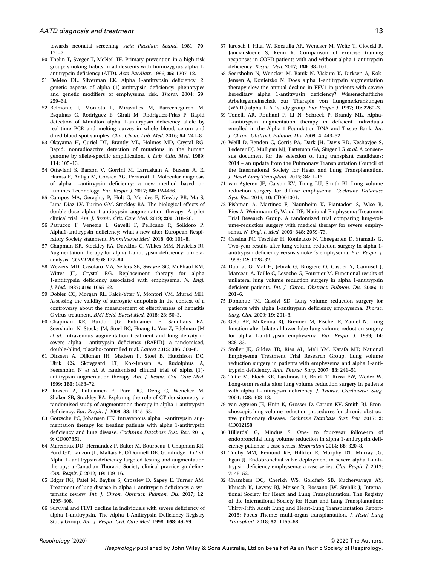towards neonatal screening. Acta Paediatr. Scand. 1981; 70: 171–7.

- 50 Thelin T, Sveger T, McNeil TF. Primary prevention in a high-risk group: smoking habits in adolescents with homozygous alpha 1 antitrypsin deficiency (ATD). Acta Paediatr. 1996; 85: 1207–12.
- 51 DeMeo DL, Silverman EK. Alpha 1-antitrypsin deficiency. 2: genetic aspects of alpha (1)-antitrypsin deficiency: phenotypes and genetic modifiers of emphysema risk. Thorax 2004; 59: 259–64.
- 52 Belmonte I, Montoto L, Miravitlles M, Barrecheguren M, Esquinas C, Rodriguez E, Giralt M, Rodriguez-Frias F. Rapid detection of Mmalton alpha 1-antitrypsin deficiency allele by real-time PCR and melting curves in whole blood, serum and dried blood spot samples. Clin. Chem. Lab. Med. 2016; 54: 241–8.
- 53 Okayama H, Curiel DT, Brantly ML, Holmes MD, Crystal RG. Rapid, nonradioactive detection of mutations in the human genome by allele-specific amplification. J. Lab. Clin. Med. 1989; 114: 105–13.
- 54 Ottaviani S, Barzon V, Gorrini M, Larruskain A, Buxens A, El Hamss R, Antiga M, Corsico AG, Ferrarotti I. Molecular diagnosis of alpha 1-antitrypsin deficiency: a new method based on Luminex Technology. Eur. Respir. J. 2017; 50: PA4466.
- 55 Campos MA, Geraghty P, Holt G, Mendes E, Newby PR, Ma S, Luna-Diaz LV, Turino GM, Stockley RA. The biological effects of double-dose alpha 1-antitrypsin augmentation therapy. A pilot clinical trial. Am. J. Respir. Crit. Care Med. 2019; 200: 318–26.
- 56 Patrucco F, Venezia L, Gavelli F, Pellicano R, Solidoro P. Alpha1-antitrypsin deficiency: what's new after European Respiratory Society statement. Panminerva Med. 2018; 60: 101–8.
- 57 Chapman KR, Stockley RA, Dawkins C, Wilkes MM, Navickis RJ. Augmentation therapy for alpha 1-antitrypsin deficiency: a metaanalysis. COPD 2009; 6: 177–84.
- 58 Wewers MD, Casolaro MA, Sellers SE, Swayze SC, McPhaul KM, Wittes JT, Crystal RG. Replacement therapy for alpha 1-antitrypsin deficiency associated with emphysema. N. Engl. J. Med. 1987; 316: 1055–62.
- 59 Dobler CC, Morgan RL, Falck-Ytter Y, Montori VM, Murad MH. Assessing the validity of surrogate endpoints in the context of a controversy about the measurement of effectiveness of hepatitis C virus treatment. BMJ Evid. Based Med. 2018; 23: 50–3.
- 60 Chapman KR, Burdon JG, Piitulainen E, Sandhaus RA, Seersholm N, Stocks JM, Stoel BC, Huang L, Yao Z, Edelman JM et al. Intravenous augmentation treatment and lung density in severe alpha 1-antitrypsin deficiency (RAPID): a randomised, double-blind, placebo-controlled trial. Lancet 2015; 386: 360–8.
- 61 Dirksen A, Dijkman JH, Madsen F, Stoel B, Hutchison DC, Ulrik CS, Skovgaard LT, Kok-Jensen A, Rudolphus A, Seersholm N et al. A randomized clinical trial of alpha (1)antitrypsin augmentation therapy. Am. J. Respir. Crit. Care Med. 1999; 160: 1468–72.
- 62 Dirksen A, Piitulainen E, Parr DG, Deng C, Wencker M, Shaker SB, Stockley RA. Exploring the role of CT densitometry: a randomised study of augmentation therapy in alpha 1-antitrypsin deficiency. Eur. Respir. J. 2009; 33: 1345–53.
- 63 Gotzsche PC, Johansen HK. Intravenous alpha 1-antitrypsin augmentation therapy for treating patients with alpha 1-antitrypsin deficiency and lung disease. Cochrane Database Syst. Rev. 2016; 9: CD007851.
- 64 Marciniuk DD, Hernandez P, Balter M, Bourbeau J, Chapman KR, Ford GT, Lauzon JL, Maltais F, O'Donnell DE, Goodridge D et al. Alpha 1- antitrypsin deficiency targeted testing and augmentation therapy: a Canadian Thoracic Society clinical practice guideline. Can. Respir. J. 2012; 19: 109–16.
- 65 Edgar RG, Patel M, Bayliss S, Crossley D, Sapey E, Turner AM. Treatment of lung disease in alpha 1-antitrypsin deficiency: a systematic review. Int. J. Chron. Obstruct. Pulmon. Dis. 2017; 12: 1295–308.
- 66 Survival and FEV1 decline in individuals with severe deficiency of alpha 1-antitrypsin. The Alpha 1-Antitrypsin Deficiency Registry Study Group. Am. J. Respir. Crit. Care Med. 1998; 158: 49–59.
- 67 Jarosch I, Hitzl W, Koczulla AR, Wencker M, Welte T, Gloeckl R, Janciauskiene S, Kenn K. Comparison of exercise training responses in COPD patients with and without alpha 1-antitrypsin deficiency. Respir. Med. 2017; 130: 98–101.
- 68 Seersholm N, Wencker M, Banik N, Viskum K, Dirksen A, Kok-Jensen A, Konietzko N. Does alpha 1-antitrypsin augmentation therapy slow the annual decline in FEV1 in patients with severe hereditary alpha 1-antitrypsin deficiency? Wissenschaftliche Arbeitsgemeinschaft zur Therapie von Lungenerkrankungen (WATL) alpha 1- AT study group. Eur. Respir. J. 1997; 10: 2260–3.
- 69 Tonelli AR, Rouhani F, Li N, Schreck P, Brantly ML. Alpha-1-antitrypsin augmentation therapy in deficient individuals enrolled in the Alpha-1 Foundation DNA and Tissue Bank. Int. J. Chron. Obstruct. Pulmon. Dis. 2009; 4: 443–52.
- 70 Weill D, Benden C, Corris PA, Dark JH, Davis RD, Keshavjee S, Lederer DJ, Mulligan MJ, Patterson GA, Singer LG et al. A consensus document for the selection of lung transplant candidates: 2014 – an update from the Pulmonary Transplantation Council of the International Society for Heart and Lung Transplantation. J. Heart Lung Transplant. 2015; 34: 1–15.
- 71 van Agteren JE, Carson KV, Tiong LU, Smith BJ. Lung volume reduction surgery for diffuse emphysema. Cochrane Database Syst. Rev. 2016; 10: CD001001.
- 72 Fishman A, Martinez F, Naunheim K, Piantadosi S, Wise R, Ries A, Weinmann G, Wood DE; National Emphysema Treatment Trial Research Group. A randomized trial comparing lung-volume-reduction surgery with medical therapy for severe emphysema. N. Engl. J. Med. 2003; 348: 2059–73.
- 73 Cassina PC, Teschler H, Konietzko N, Theegarten D, Stamatis G. Two-year results after lung volume reduction surgery in alpha 1 antitrypsin deficiency versus smoker's emphysema. Eur. Respir. J. 1998; 12: 1028–32.
- 74 Dauriat G, Mal H, Jebrak G, Brugiere O, Castier Y, Camuset J, Marceau A, Taille C, Leseche G, Fournier M. Functional results of unilateral lung volume reduction surgery in alpha 1-antitrypsin deficient patients. Int. J. Chron. Obstruct. Pulmon. Dis. 2006; 1: 201–6.
- 75 Donahue JM, Cassivi SD. Lung volume reduction surgery for patients with alpha 1-antitrypsin deficiency emphysema. Thorac. Surg. Clin. 2009; 19: 201–8.
- 76 Gelb AF, McKenna RJ, Brenner M, Fischel R, Zamel N. Lung function after bilateral lower lobe lung volume reduction surgery for alpha 1-antitrypsin emphysema. Eur. Respir. J. 1999; 14: 928–33.
- 77 Stoller JK, Gildea TR, Ries AL, Meli YM, Karafa MT; National Emphysema Treatment Trial Research Group. Lung volume reduction surgery in patients with emphysema and alpha 1-antitrypsin deficiency. Ann. Thorac. Surg. 2007; 83: 241–51.
- 78 Tutic M, Bloch KE, Lardinois D, Brack T, Russi EW, Weder W. Long-term results after lung volume reduction surgery in patients with alpha 1-antitrypsin deficiency. J. Thorac. Cardiovasc. Surg. 2004; 128: 408–13.
- 79 van Agteren JE, Hnin K, Grosser D, Carson KV, Smith BJ. Bronchoscopic lung volume reduction procedures for chronic obstructive pulmonary disease. Cochrane Database Syst. Rev. 2017; 2: CD012158.
- 80 Hillerdal G, Mindus S. One- to four-year follow-up of endobronchial lung volume reduction in alpha 1-antitrypsin deficiency patients: a case series. Respiration 2014; 88: 320–8.
- 81 Tuohy MM, Remund KF, Hilfiker R, Murphy DT, Murray JG, Egan JJ. Endobronchial valve deployment in severe alpha 1-antitrypsin deficiency emphysema: a case series. Clin. Respir. J. 2013; 7: 45–52.
- 82 Chambers DC, Cherikh WS, Goldfarb SB, Kucheryavaya AY, Khusch K, Levvey BJ, Meiser B, Rossano JW, Stehlik J; International Society for Heart and Lung Transplantation. The Registry of the International Society for Heart and Lung Transplantation: Thirty-Fifth Adult Lung and Heart-Lung Transplantation Report-2018; Focus Theme: multi-organ transplantation. J. Heart Lung Transplant. 2018; 37: 1155–68.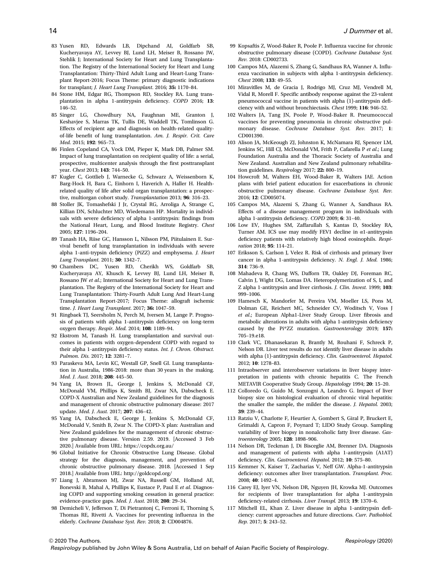- 83 Yusen RD, Edwards LB, Dipchand AI, Goldfarb SB, Kucheryavaya AY, Levvey BJ, Lund LH, Meiser B, Rossano JW, Stehlik J; International Society for Heart and Lung Transplantation. The Registry of the International Society for Heart and Lung Transplantation: Thirty-Third Adult Lung and Heart-Lung Transplant Report-2016; Focus Theme: primary diagnostic indications for transplant; J. Heart Lung Transplant. 2016; 35: 1170–84.
- 84 Stone HM, Edgar RG, Thompson RD, Stockley RA. Lung transplantation in alpha 1-antitrypsin deficiency. COPD 2016; 13: 146–52.
- 85 Singer LG, Chowdhury NA, Faughnan ME, Granton J, Keshavjee S, Marras TK, Tullis DE, Waddell TK, Tomlinson G. Effects of recipient age and diagnosis on health-related qualityof-life benefit of lung transplantation. Am. J. Respir. Crit. Care Med. 2015; 192: 965–73.
- 86 Finlen Copeland CA, Vock DM, Pieper K, Mark DB, Palmer SM. Impact of lung transplantation on recipient quality of life: a serial, prospective, multicenter analysis through the first posttransplant year. Chest 2013; 143: 744–50.
- 87 Kugler C, Gottlieb J, Warnecke G, Schwarz A, Weissenborn K, Barg-Hock H, Bara C, Einhorn I, Haverich A, Haller H. Healthrelated quality of life after solid organ transplantation: a prospective, multiorgan cohort study. Transplantation 2013; 96: 316–23.
- 88 Stoller JK, Tomashefski J Jr, Crystal RG, Arroliga A, Strange C, Killian DN, Schluchter MD, Wiedemann HP. Mortality in individuals with severe deficiency of alpha 1-antitrypsin: findings from the National Heart, Lung, and Blood Institute Registry. Chest 2005; 127: 1196–204.
- 89 Tanash HA, Riise GC, Hansson L, Nilsson PM, Piitulainen E. Survival benefit of lung transplantation in individuals with severe alpha 1-anti-trypsin deficiency (PiZZ) and emphysema. J. Heart Lung Transplant. 2011; 30: 1342–7.
- 90 Chambers DC, Yusen RD, Cherikh WS, Goldfarb SB, Kucheryavaya AY, Khusch K, Levvey BJ, Lund LH, Meiser B, Rossano JW et al.; International Society for Heart and Lung Transplantation. The Registry of the International Society for Heart and Lung Transplantation: Thirty-Fourth Adult Lung And Heart-Lung Transplantation Report-2017; Focus Theme: allograft ischemic time. J. Heart Lung Transplant. 2017; 36: 1047–59.
- 91 Ringbaek TJ, Seersholm N, Perch M, Iversen M, Lange P. Prognosis of patients with alpha 1-antitrypsin deficiency on long-term oxygen therapy. Respir. Med. 2014; 108: 1189–94.
- 92 Ekstrom M, Tanash H. Lung transplantation and survival outcomes in patients with oxygen-dependent COPD with regard to their alpha 1-antitrypsin deficiency status. Int. J. Chron. Obstruct. Pulmon. Dis. 2017; 12: 3281–7.
- 93 Paraskeva MA, Levin KC, Westall GP, Snell GI. Lung transplantation in Australia, 1986-2018: more than 30 years in the making. Med. J. Aust. 2018; 208: 445–50.
- 94 Yang IA, Brown JL, George J, Jenkins S, McDonald CF, McDonald VM, Phillips K, Smith BJ, Zwar NA, Dabscheck E. COPD-X Australian and New Zealand guidelines for the diagnosis and management of chronic obstructive pulmonary disease: 2017 update. Med. J. Aust. 2017; 207: 436–42.
- 95 Yang IA, Dabscheck E, George J, Jenkins S, McDonald CF, McDonald V, Smith B, Zwar N. The COPD-X plan: Australian and New Zealand guidelines for the management of chronic obstructive pulmonary disease. Version 2.59. 2019. [Accessed 3 Feb 2020.] Available from URL:<https://copdx.org.au/>
- 96 Global Initiative for Chronic Obstructive Lung Disease. Global strategy for the diagnosis, management, and prevention of chronic obstructive pulmonary disease. 2018. [Accessed 1 Sep 2018.] Available from URL:<http://goldcopd.org/>
- 97 Liang J, Abramson MJ, Zwar NA, Russell GM, Holland AE, Bonevski B, Mahal A, Phillips K, Eustace P, Paul E et al. Diagnosing COPD and supporting smoking cessation in general practice: evidence-practice gaps. Med. J. Aust. 2018; 208: 29–34.
- 98 Demicheli V, Jefferson T, Di Pietrantonj C, Ferroni E, Thorning S, Thomas RE, Rivetti A. Vaccines for preventing influenza in the elderly. Cochrane Database Syst. Rev. 2018; 2: CD004876.
- 99 Kopsaftis Z, Wood-Baker R, Poole P. Influenza vaccine for chronic obstructive pulmonary disease (COPD). Cochrane Database Syst. Rev. 2018: CD002733.
- 100 Campos MA, Alazemi S, Zhang G, Sandhaus RA, Wanner A. Influenza vaccination in subjects with alpha 1-antitrypsin deficiency. Chest 2008; 133: 49–55.
- 101 Miravitlles M, de Gracia J, Rodrigo MJ, Cruz MJ, Vendrell M, Vidal R, Morell F. Specific antibody response against the 23-valent pneumococcal vaccine in patients with alpha (1)-antitrypsin deficiency with and without bronchiectasis. Chest 1999; 116: 946–52.
- 102 Walters JA, Tang JN, Poole P, Wood-Baker R. Pneumococcal vaccines for preventing pneumonia in chronic obstructive pulmonary disease. Cochrane Database Syst. Rev. 2017; 1: CD001390.
- 103 Alison JA, McKeough ZJ, Johnston K, McNamara RJ, Spencer LM, Jenkins SC, Hill CJ, McDonald VM, Frith P, Cafarella P et al.; Lung Foundation Australia and the Thoracic Society of Australia and New Zealand. Australian and New Zealand pulmonary rehabilitation guidelines. Respirology 2017; 22: 800–19.
- 104 Howcroft M, Walters EH, Wood-Baker R, Walters JAE. Action plans with brief patient education for exacerbations in chronic obstructive pulmonary disease. Cochrane Database Syst. Rev. 2016; 12: CD005074.
- 105 Campos MA, Alazemi S, Zhang G, Wanner A, Sandhaus RA. Effects of a disease management program in individuals with alpha 1-antitrypsin deficiency. COPD 2009; 6: 31–40.
- 106 Low EV, Hughes SM, Zaffarullah S, Kantas D, Stockley RA, Turner AM. ICS use may modify FEV1 decline in α1-antitrypsin deficiency patients with relatively high blood eosinophils. Respiration 2018; 95: 114–21.
- 107 Eriksson S, Carlson J, Velez R. Risk of cirrhosis and primary liver cancer in alpha 1-antitrypsin deficiency. N. Engl. J. Med. 1986; 314: 736–9.
- 108 Mahadeva R, Chang WS, Dafforn TR, Oakley DJ, Foreman RC, Calvin J, Wight DG, Lomas DA. Heteropolymerization of S, I, and Z alpha 1-antitrypsin and liver cirrhosis. J. Clin. Invest. 1999; 103: 999–1006.
- 109 Hamesch K, Mandorfer M, Pereira VM, Moeller LS, Pons M, Dolman GE, Reichert MC, Schneider CV, Woditsch V, Voss J et al.; European Alpha1-Liver Study Group. Liver fibrosis and metabolic alterations in adults with alpha 1-antitrypsin deficiency caused by the Pi\*ZZ mutation. Gastroenterology 2019; 157: 705–19.e18.
- 110 Clark VC, Dhanasekaran R, Brantly M, Rouhani F, Schreck P, Nelson DR. Liver test results do not identify liver disease in adults with alpha (1)-antitrypsin deficiency. Clin. Gastroenterol. Hepatol. 2012; 10: 1278–83.
- 111 Intraobserver and interobserver variations in liver biopsy interpretation in patients with chronic hepatitis C. The French METAVIR Cooperative Study Group. Hepatology 1994; 20: 15–20.
- 112 Colloredo G, Guido M, Sonzogni A, Leandro G. Impact of liver biopsy size on histological evaluation of chronic viral hepatitis: the smaller the sample, the milder the disease. J. Hepatol. 2003; 39: 239–44.
- 113 Ratziu V, Charlotte F, Heurtier A, Gombert S, Giral P, Bruckert E, Grimaldi A, Capron F, Poynard T; LIDO Study Group. Sampling variability of liver biopsy in nonalcoholic fatty liver disease. Gastroenterology 2005; 128: 1898–906.
- 114 Nelson DR, Teckman J, Di Bisceglie AM, Brenner DA. Diagnosis and management of patients with alpha 1-antitrypsin (A1AT) deficiency. Clin. Gastroenterol. Hepatol. 2012; 10: 575–80.
- 115 Kemmer N, Kaiser T, Zacharias V, Neff GW. Alpha-1-antitrypsin deficiency: outcomes after liver transplantation. Transplant. Proc. 2008; 40: 1492–4.
- 116 Carey EJ, Iyer VN, Nelson DR, Nguyen JH, Krowka MJ. Outcomes for recipients of liver transplantation for alpha 1-antitrypsin deficiency-related cirrhosis. Liver Transpl. 2013; 19: 1370–6.
- 117 Mitchell EL, Khan Z. Liver disease in alpha 1-antitrypsin deficiency: current approaches and future directions. Curr. Pathobiol. Rep. 2017; 5: 243–52.